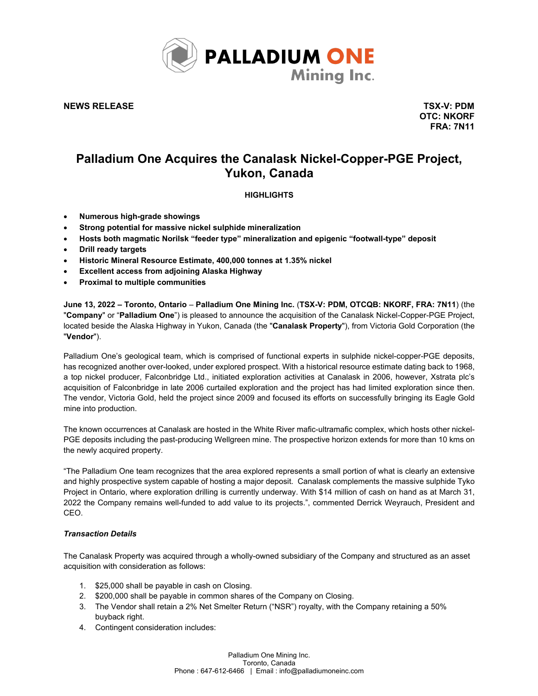

**NEWS RELEASE TSX-V: PDM**

**OTC: NKORF FRA: 7N11**

# **Palladium One Acquires the Canalask Nickel-Copper-PGE Project, Yukon, Canada**

# **HIGHLIGHTS**

- **Numerous high-grade showings**
- **Strong potential for massive nickel sulphide mineralization**
- **Hosts both magmatic Norilsk "feeder type" mineralization and epigenic "footwall-type" deposit**
- **Drill ready targets**
- **Historic Mineral Resource Estimate, 400,000 tonnes at 1.35% nickel**
- **Excellent access from adjoining Alaska Highway**
- **Proximal to multiple communities**

**June 13, 2022 – Toronto, Ontario** – **Palladium One Mining Inc.** (**TSX-V: PDM, OTCQB: NKORF, FRA: 7N11**) (the "**Company**" or "**Palladium One**") is pleased to announce the acquisition of the Canalask Nickel-Copper-PGE Project, located beside the Alaska Highway in Yukon, Canada (the "**Canalask Property**"), from Victoria Gold Corporation (the "**Vendor**").

Palladium One's geological team, which is comprised of functional experts in sulphide nickel-copper-PGE deposits, has recognized another over-looked, under explored prospect. With a historical resource estimate dating back to 1968, a top nickel producer, Falconbridge Ltd., initiated exploration activities at Canalask in 2006, however, Xstrata plc's acquisition of Falconbridge in late 2006 curtailed exploration and the project has had limited exploration since then. The vendor, Victoria Gold, held the project since 2009 and focused its efforts on successfully bringing its Eagle Gold mine into production.

The known occurrences at Canalask are hosted in the White River mafic-ultramafic complex, which hosts other nickel-PGE deposits including the past-producing Wellgreen mine. The prospective horizon extends for more than 10 kms on the newly acquired property.

"The Palladium One team recognizes that the area explored represents a small portion of what is clearly an extensive and highly prospective system capable of hosting a major deposit. Canalask complements the massive sulphide Tyko Project in Ontario, where exploration drilling is currently underway. With \$14 million of cash on hand as at March 31, 2022 the Company remains well-funded to add value to its projects.", commented Derrick Weyrauch, President and CEO.

## *Transaction Details*

The Canalask Property was acquired through a wholly-owned subsidiary of the Company and structured as an asset acquisition with consideration as follows:

- 1. \$25,000 shall be payable in cash on Closing.
- 2. \$200,000 shall be payable in common shares of the Company on Closing.
- 3. The Vendor shall retain a 2% Net Smelter Return ("NSR") royalty, with the Company retaining a 50% buyback right.
- 4. Contingent consideration includes: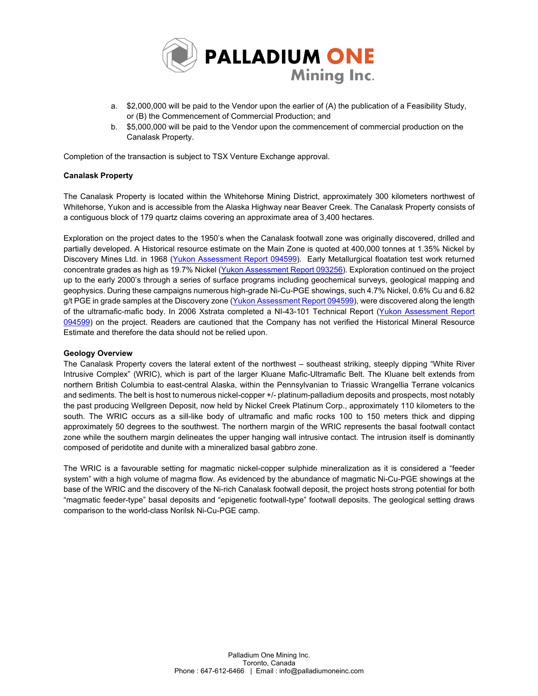

- a. \$2,000,000 will be paid to the Vendor upon the earlier of (A) the publication of a Feasibility Study, or (B) the Commencement of Commercial Production; and
- b. \$5,000,000 will be paid to the Vendor upon the commencement of commercial production on the Canalask Property.

Completion of the transaction is subject to TSX Venture Exchange approval.

## **Canalask Property**

The Canalask Property is located within the Whitehorse Mining District, approximately 300 kilometers northwest of Whitehorse, Yukon and is accessible from the Alaska Highway near Beaver Creek. The Canalask Property consists of a contiguous block of 179 quartz claims covering an approximate area of 3,400 hectares.

Exploration on the project dates to the 1950's when the Canalask footwall zone was originally discovered, drilled and partially developed. A Historical resource estimate on the Main Zone is quoted at 400,000 tonnes at 1.35% Nickel by Discovery Mines Ltd. in 1968 (Yukon Assessment Report 094599). Early Metallurgical floatation test work returned concentrate grades as high as 19.7% Nickel (Yukon Assessment Report 093256). Exploration continued on the project up to the early 2000's through a series of surface programs including geochemical surveys, geological mapping and geophysics. During these campaigns numerous high-grade Ni-Cu-PGE showings, such 4.7% Nickel, 0.6% Cu and 6.82 g/t PGE in grade samples at the Discovery zone (Yukon Assessment Report 094599), were discovered along the length of the ultramafic-mafic body. In 2006 Xstrata completed a NI-43-101 Technical Report (Yukon Assessment Report 094599) on the project. Readers are cautioned that the Company has not verified the Historical Mineral Resource Estimate and therefore the data should not be relied upon.

## **Geology Overview**

The Canalask Property covers the lateral extent of the northwest – southeast striking, steeply dipping "White River Intrusive Complex" (WRIC), which is part of the larger Kluane Mafic-Ultramafic Belt. The Kluane belt extends from northern British Columbia to east-central Alaska, within the Pennsylvanian to Triassic Wrangellia Terrane volcanics and sediments. The belt is host to numerous nickel-copper +/- platinum-palladium deposits and prospects, most notably the past producing Wellgreen Deposit, now held by Nickel Creek Platinum Corp., approximately 110 kilometers to the south. The WRIC occurs as a sill-like body of ultramafic and mafic rocks 100 to 150 meters thick and dipping approximately 50 degrees to the southwest. The northern margin of the WRIC represents the basal footwall contact zone while the southern margin delineates the upper hanging wall intrusive contact. The intrusion itself is dominantly composed of peridotite and dunite with a mineralized basal gabbro zone.

The WRIC is a favourable setting for magmatic nickel-copper sulphide mineralization as it is considered a "feeder system" with a high volume of magma flow. As evidenced by the abundance of magmatic Ni-Cu-PGE showings at the base of the WRIC and the discovery of the Ni-rich Canalask footwall deposit, the project hosts strong potential for both "magmatic feeder-type" basal deposits and "epigenetic footwall-type" footwall deposits. The geological setting draws comparison to the world-class Norilsk Ni-Cu-PGE camp.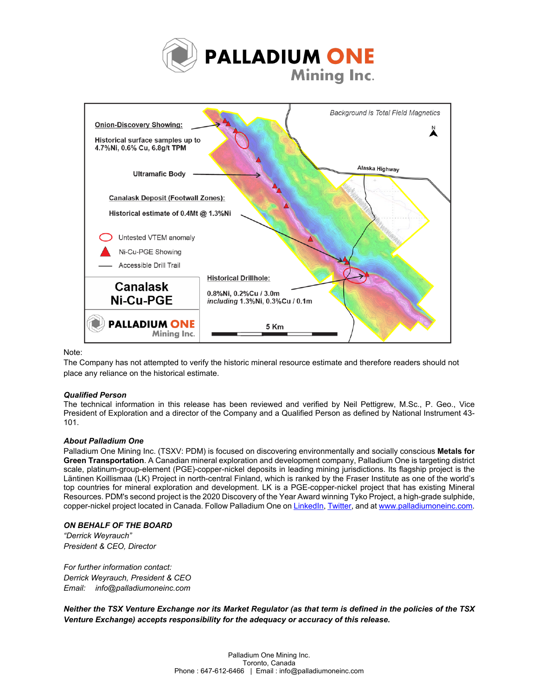



## Note:

The Company has not attempted to verify the historic mineral resource estimate and therefore readers should not place any reliance on the historical estimate.

#### *Qualified Person*

The technical information in this release has been reviewed and verified by Neil Pettigrew, M.Sc., P. Geo., Vice President of Exploration and a director of the Company and a Qualified Person as defined by National Instrument 43- 101.

## *About Palladium One*

Palladium One Mining Inc. (TSXV: PDM) is focused on discovering environmentally and socially conscious **Metals for Green Transportation**. A Canadian mineral exploration and development company, Palladium One is targeting district scale, platinum-group-element (PGE)-copper-nickel deposits in leading mining jurisdictions. Its flagship project is the Läntinen Koillismaa (LK) Project in north-central Finland, which is ranked by the Fraser Institute as one of the world's top countries for mineral exploration and development. LK is a PGE-copper-nickel project that has existing Mineral Resources. PDM's second project is the 2020 Discovery of the Year Award winning Tyko Project, a high-grade sulphide, copper-nickel project located in Canada. Follow Palladium One on LinkedIn, Twitter, and at www.palladiumoneinc.com.

#### *ON BEHALF OF THE BOARD*

*"Derrick Weyrauch" President & CEO, Director*

*For further information contact: Derrick Weyrauch, President & CEO Email: info@palladiumoneinc.com*

*Neither the TSX Venture Exchange nor its Market Regulator (as that term is defined in the policies of the TSX Venture Exchange) accepts responsibility for the adequacy or accuracy of this release.*